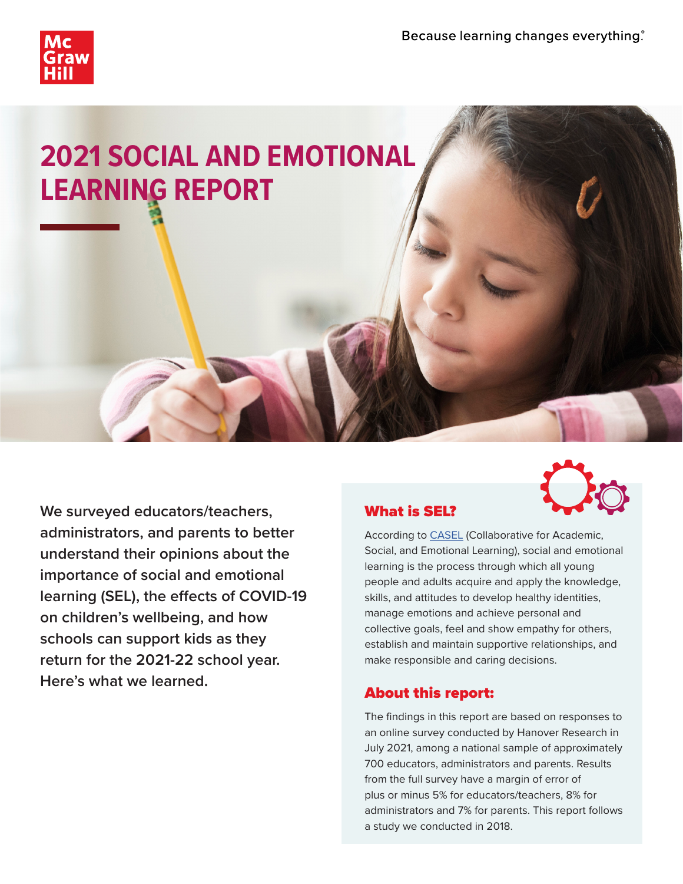

# **2021 SOCIAL AND EMOTIONAL LEARNING REPORT**

**We surveyed educators/teachers, administrators, and parents to better understand their opinions about the importance of social and emotional learning (SEL), the effects of COVID-19 on children's wellbeing, and how schools can support kids as they return for the 2021-22 school year. Here's what we learned.**



### What is SEL?

According to [CASEL](https://casel.org/) (Collaborative for Academic, Social, and Emotional Learning), social and emotional learning is the process through which all young people and adults acquire and apply the knowledge, skills, and attitudes to develop healthy identities, manage emotions and achieve personal and collective goals, feel and show empathy for others, establish and maintain supportive relationships, and make responsible and caring decisions.

### About this report:

The findings in this report are based on responses to an online survey conducted by Hanover Research in July 2021, among a national sample of approximately 700 educators, administrators and parents. Results from the full survey have a margin of error of plus or minus 5% for educators/teachers, 8% for administrators and 7% for parents. This report follows a study we conducted in 2018.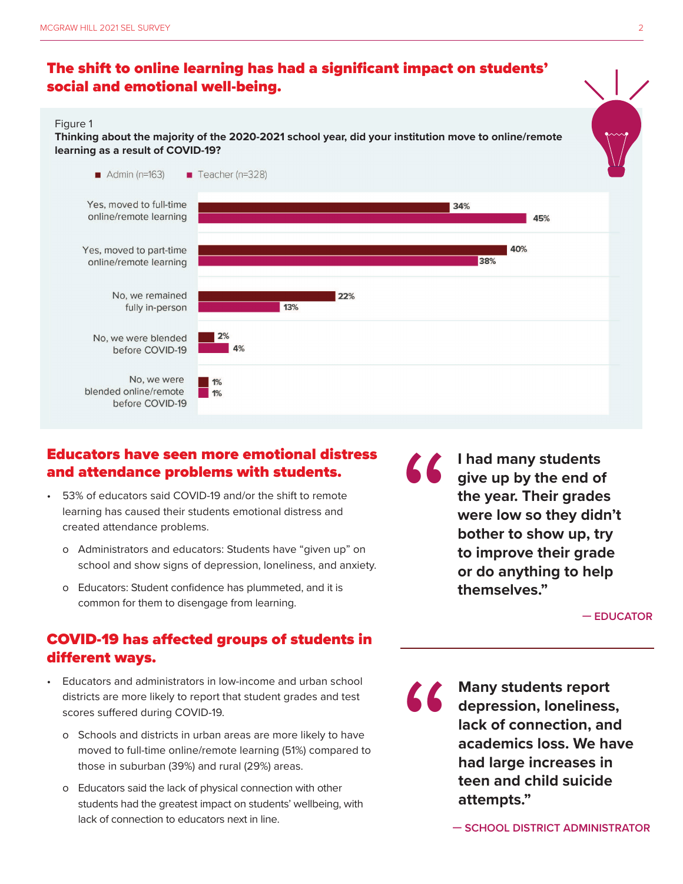### The shift to online learning has had a significant impact on students' social and emotional well-being.

#### Figure 1

**Thinking about the majority of the 2020-2021 school year, did your institution move to online/remote learning as a result of COVID-19?**



### Educators have seen more emotional distress and attendance problems with students.

- 53% of educators said COVID-19 and/or the shift to remote learning has caused their students emotional distress and created attendance problems.
	- o Administrators and educators: Students have "given up" on school and show signs of depression, loneliness, and anxiety.
	- o Educators: Student confidence has plummeted, and it is common for them to disengage from learning.

## COVID-19 has affected groups of students in different ways.

- Educators and administrators in low-income and urban school districts are more likely to report that student grades and test scores suffered during COVID-19.
	- o Schools and districts in urban areas are more likely to have moved to full-time online/remote learning (51%) compared to those in suburban (39%) and rural (29%) areas.
	- o Educators said the lack of physical connection with other students had the greatest impact on students' wellbeing, with lack of connection to educators next in line.

**I had many students give up by the end of the year. Their grades were low so they didn't bother to show up, try to improve their grade or do anything to help themselves."** "

**— EDUCATOR**

**Many students report depression, loneliness, lack of connection, and academics loss. We have had large increases in teen and child suicide attempts."** "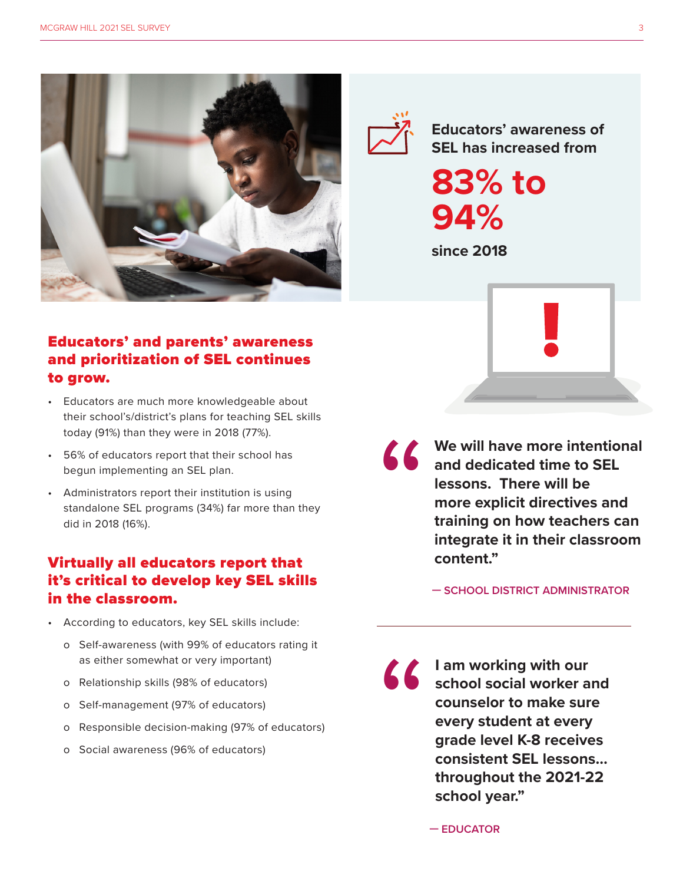



**Educators' awareness of SEL has increased from**

**83% to 94%**

**since 2018**

### Educators' and parents' awareness and prioritization of SEL continues to grow.

- Educators are much more knowledgeable about their school's/district's plans for teaching SEL skills today (91%) than they were in 2018 (77%).
- 56% of educators report that their school has begun implementing an SEL plan.
- Administrators report their institution is using standalone SEL programs (34%) far more than they did in 2018 (16%).

### Virtually all educators report that it's critical to develop key SEL skills in the classroom.

- According to educators, key SEL skills include:
	- o Self-awareness (with 99% of educators rating it as either somewhat or very important)
	- o Relationship skills (98% of educators)
	- o Self-management (97% of educators)
	- o Responsible decision-making (97% of educators)
	- o Social awareness (96% of educators)

We will have more intentional<br>
and dedicated time to SEL<br>
lessons. There will be<br>
more explicit directives and<br>
training on how teachers can<br>
integrate it in their classroom<br>
content." **and dedicated time to SEL lessons. There will be more explicit directives and training on how teachers can integrate it in their classroom content."**

**— SCHOOL DISTRICT ADMINISTRATOR** 

**I am working with our<br>
school social worker a<br>
counselor to make sur<br>
every student at every<br>
grade level K-8 receive<br>
consistent SEL lessons<br>
throughout the 2021-2 school social worker and counselor to make sure every student at every grade level K-8 receives consistent SEL lessons… throughout the 2021-22 school year."**

**— EDUCATOR**